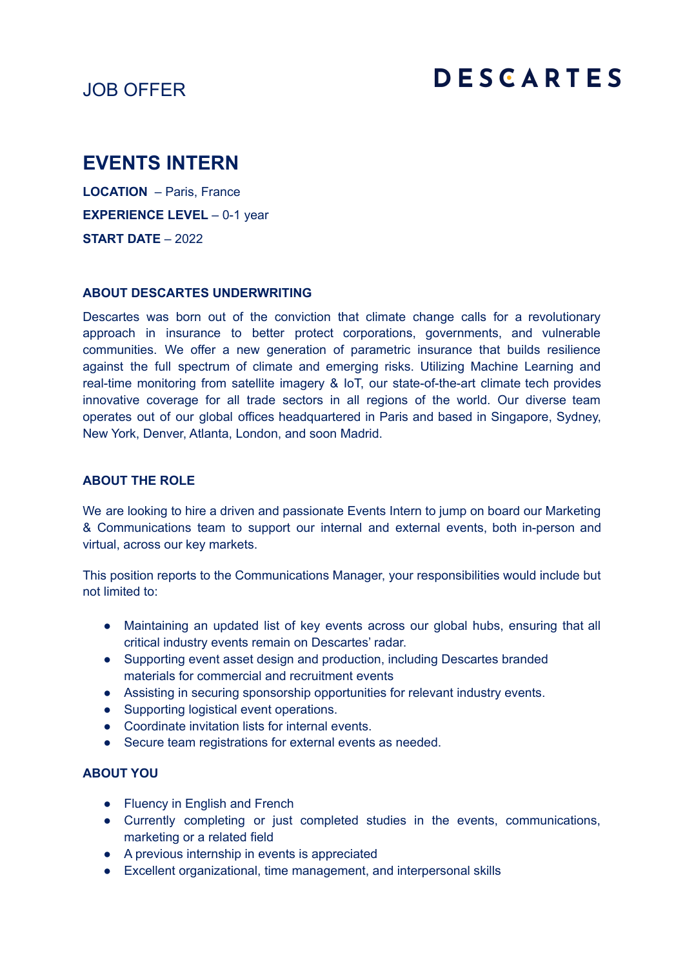# JOB OFFER

# **DESCARTES**

# **EVENTS INTERN**

**LOCATION** – Paris, France **EXPERIENCE LEVEL** – 0-1 year **START DATE** – 2022

## **ABOUT DESCARTES UNDERWRITING**

Descartes was born out of the conviction that climate change calls for a revolutionary approach in insurance to better protect corporations, governments, and vulnerable communities. We offer a new generation of parametric insurance that builds resilience against the full spectrum of climate and emerging risks. Utilizing Machine Learning and real-time monitoring from satellite imagery & IoT, our state-of-the-art climate tech provides innovative coverage for all trade sectors in all regions of the world. Our diverse team operates out of our global offices headquartered in Paris and based in Singapore, Sydney, New York, Denver, Atlanta, London, and soon Madrid.

#### **ABOUT THE ROLE**

We are looking to hire a driven and passionate Events Intern to jump on board our Marketing & Communications team to support our internal and external events, both in-person and virtual, across our key markets.

This position reports to the Communications Manager, your responsibilities would include but not limited to:

- Maintaining an updated list of key events across our global hubs, ensuring that all critical industry events remain on Descartes' radar.
- Supporting event asset design and production, including Descartes branded materials for commercial and recruitment events
- Assisting in securing sponsorship opportunities for relevant industry events.
- Supporting logistical event operations.
- Coordinate invitation lists for internal events.
- Secure team registrations for external events as needed.

## **ABOUT YOU**

- Fluency in English and French
- Currently completing or just completed studies in the events, communications, marketing or a related field
- A previous internship in events is appreciated
- Excellent organizational, time management, and interpersonal skills